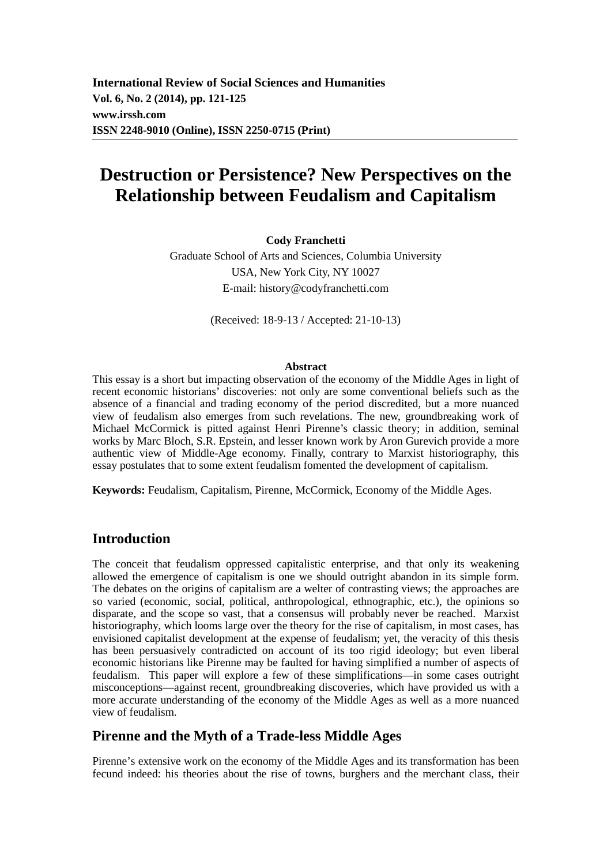**International Review of Social Sciences and Humanities Vol. 6, No. 2 (2014), pp. 121-125 www.irssh.com ISSN 2248-9010 (Online), ISSN 2250-0715 (Print)** 

# **Destruction or Persistence? New Perspectives on the Relationship between Feudalism and Capitalism**

#### **Cody Franchetti**

Graduate School of Arts and Sciences, Columbia University USA, New York City, NY 10027 E-mail: history@codyfranchetti.com

(Received: 18-9-13 / Accepted: 21-10-13)

#### **Abstract**

This essay is a short but impacting observation of the economy of the Middle Ages in light of recent economic historians' discoveries: not only are some conventional beliefs such as the absence of a financial and trading economy of the period discredited, but a more nuanced view of feudalism also emerges from such revelations. The new, groundbreaking work of Michael McCormick is pitted against Henri Pirenne's classic theory; in addition, seminal works by Marc Bloch, S.R. Epstein, and lesser known work by Aron Gurevich provide a more authentic view of Middle-Age economy. Finally, contrary to Marxist historiography, this essay postulates that to some extent feudalism fomented the development of capitalism.

**Keywords:** Feudalism, Capitalism, Pirenne, McCormick, Economy of the Middle Ages.

### **Introduction**

The conceit that feudalism oppressed capitalistic enterprise, and that only its weakening allowed the emergence of capitalism is one we should outright abandon in its simple form. The debates on the origins of capitalism are a welter of contrasting views; the approaches are so varied (economic, social, political, anthropological, ethnographic, etc.), the opinions so disparate, and the scope so vast, that a consensus will probably never be reached. Marxist historiography, which looms large over the theory for the rise of capitalism, in most cases, has envisioned capitalist development at the expense of feudalism; yet, the veracity of this thesis has been persuasively contradicted on account of its too rigid ideology; but even liberal economic historians like Pirenne may be faulted for having simplified a number of aspects of feudalism. This paper will explore a few of these simplifications—in some cases outright misconceptions—against recent, groundbreaking discoveries, which have provided us with a more accurate understanding of the economy of the Middle Ages as well as a more nuanced view of feudalism.

### **Pirenne and the Myth of a Trade-less Middle Ages**

Pirenne's extensive work on the economy of the Middle Ages and its transformation has been fecund indeed: his theories about the rise of towns, burghers and the merchant class, their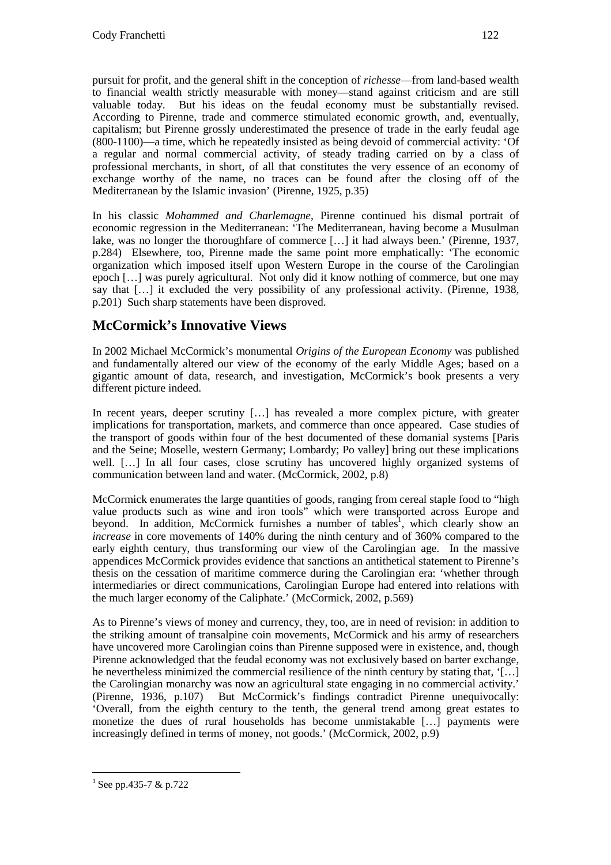pursuit for profit, and the general shift in the conception of *richesse*—from land-based wealth to financial wealth strictly measurable with money—stand against criticism and are still valuable today. But his ideas on the feudal economy must be substantially revised. According to Pirenne, trade and commerce stimulated economic growth, and, eventually, capitalism; but Pirenne grossly underestimated the presence of trade in the early feudal age (800-1100)—a time, which he repeatedly insisted as being devoid of commercial activity: 'Of a regular and normal commercial activity, of steady trading carried on by a class of professional merchants, in short, of all that constitutes the very essence of an economy of exchange worthy of the name, no traces can be found after the closing off of the Mediterranean by the Islamic invasion' (Pirenne, 1925, p.35)

In his classic *Mohammed and Charlemagne*, Pirenne continued his dismal portrait of economic regression in the Mediterranean: 'The Mediterranean, having become a Musulman lake, was no longer the thoroughfare of commerce […] it had always been.' (Pirenne, 1937, p.284) Elsewhere, too, Pirenne made the same point more emphatically: 'The economic organization which imposed itself upon Western Europe in the course of the Carolingian epoch […] was purely agricultural. Not only did it know nothing of commerce, but one may say that […] it excluded the very possibility of any professional activity. (Pirenne, 1938, p.201) Such sharp statements have been disproved.

## **McCormick's Innovative Views**

In 2002 Michael McCormick's monumental *Origins of the European Economy* was published and fundamentally altered our view of the economy of the early Middle Ages; based on a gigantic amount of data, research, and investigation, McCormick's book presents a very different picture indeed.

In recent years, deeper scrutiny [...] has revealed a more complex picture, with greater implications for transportation, markets, and commerce than once appeared. Case studies of the transport of goods within four of the best documented of these domanial systems [Paris and the Seine; Moselle, western Germany; Lombardy; Po valley] bring out these implications well. […] In all four cases, close scrutiny has uncovered highly organized systems of communication between land and water. (McCormick, 2002, p.8)

McCormick enumerates the large quantities of goods, ranging from cereal staple food to "high value products such as wine and iron tools" which were transported across Europe and beyond. In addition, McCormick furnishes a number of tables<sup>1</sup>, which clearly show an *increase* in core movements of 140% during the ninth century and of 360% compared to the early eighth century, thus transforming our view of the Carolingian age. In the massive appendices McCormick provides evidence that sanctions an antithetical statement to Pirenne's thesis on the cessation of maritime commerce during the Carolingian era: 'whether through intermediaries or direct communications, Carolingian Europe had entered into relations with the much larger economy of the Caliphate.' (McCormick, 2002, p.569)

As to Pirenne's views of money and currency, they, too, are in need of revision: in addition to the striking amount of transalpine coin movements, McCormick and his army of researchers have uncovered more Carolingian coins than Pirenne supposed were in existence, and, though Pirenne acknowledged that the feudal economy was not exclusively based on barter exchange, he nevertheless minimized the commercial resilience of the ninth century by stating that, '[...] the Carolingian monarchy was now an agricultural state engaging in no commercial activity.' (Pirenne, 1936, p.107) But McCormick's findings contradict Pirenne unequivocally: 'Overall, from the eighth century to the tenth, the general trend among great estates to monetize the dues of rural households has become unmistakable […] payments were increasingly defined in terms of money, not goods.' (McCormick, 2002, p.9)

 $\overline{a}$ 

 $1$  See pp.435-7 & p.722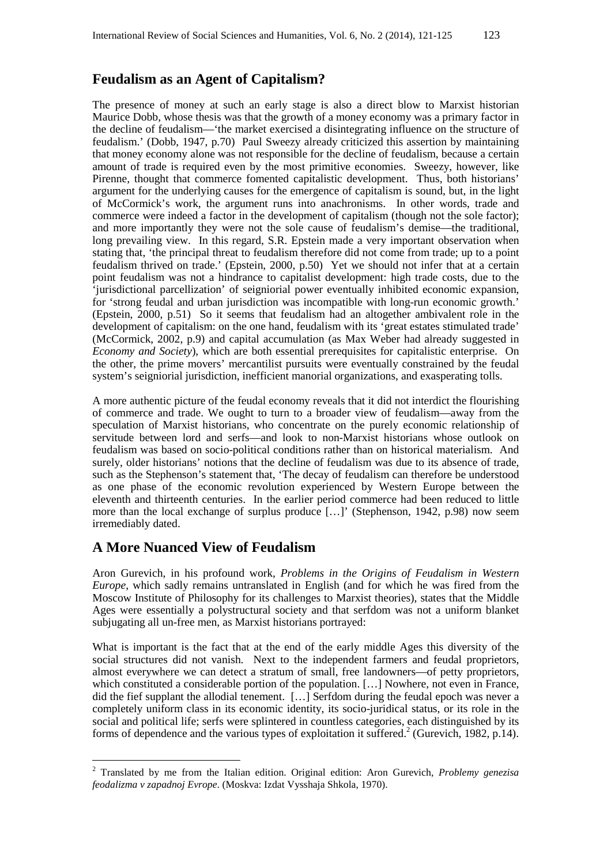### **Feudalism as an Agent of Capitalism?**

The presence of money at such an early stage is also a direct blow to Marxist historian Maurice Dobb, whose thesis was that the growth of a money economy was a primary factor in the decline of feudalism—'the market exercised a disintegrating influence on the structure of feudalism.' (Dobb, 1947, p.70) Paul Sweezy already criticized this assertion by maintaining that money economy alone was not responsible for the decline of feudalism, because a certain amount of trade is required even by the most primitive economies. Sweezy, however, like Pirenne, thought that commerce fomented capitalistic development. Thus, both historians' argument for the underlying causes for the emergence of capitalism is sound, but, in the light of McCormick's work, the argument runs into anachronisms. In other words, trade and commerce were indeed a factor in the development of capitalism (though not the sole factor); and more importantly they were not the sole cause of feudalism's demise—the traditional, long prevailing view. In this regard, S.R. Epstein made a very important observation when stating that, 'the principal threat to feudalism therefore did not come from trade; up to a point feudalism thrived on trade.' (Epstein, 2000, p.50) Yet we should not infer that at a certain point feudalism was not a hindrance to capitalist development: high trade costs, due to the 'jurisdictional parcellization' of seigniorial power eventually inhibited economic expansion, for 'strong feudal and urban jurisdiction was incompatible with long-run economic growth.' (Epstein, 2000, p.51) So it seems that feudalism had an altogether ambivalent role in the development of capitalism: on the one hand, feudalism with its 'great estates stimulated trade' (McCormick, 2002, p.9) and capital accumulation (as Max Weber had already suggested in *Economy and Society*), which are both essential prerequisites for capitalistic enterprise. On the other, the prime movers' mercantilist pursuits were eventually constrained by the feudal system's seigniorial jurisdiction, inefficient manorial organizations, and exasperating tolls.

A more authentic picture of the feudal economy reveals that it did not interdict the flourishing of commerce and trade. We ought to turn to a broader view of feudalism—away from the speculation of Marxist historians, who concentrate on the purely economic relationship of servitude between lord and serfs—and look to non-Marxist historians whose outlook on feudalism was based on socio-political conditions rather than on historical materialism. And surely, older historians' notions that the decline of feudalism was due to its absence of trade, such as the Stephenson's statement that, 'The decay of feudalism can therefore be understood as one phase of the economic revolution experienced by Western Europe between the eleventh and thirteenth centuries. In the earlier period commerce had been reduced to little more than the local exchange of surplus produce […]' (Stephenson, 1942, p.98) now seem irremediably dated.

### **A More Nuanced View of Feudalism**

 $\overline{a}$ 

Aron Gurevich, in his profound work, *Problems in the Origins of Feudalism in Western Europe*, which sadly remains untranslated in English (and for which he was fired from the Moscow Institute of Philosophy for its challenges to Marxist theories), states that the Middle Ages were essentially a polystructural society and that serfdom was not a uniform blanket subjugating all un-free men, as Marxist historians portrayed:

What is important is the fact that at the end of the early middle Ages this diversity of the social structures did not vanish. Next to the independent farmers and feudal proprietors, almost everywhere we can detect a stratum of small, free landowners—of petty proprietors, which constituted a considerable portion of the population. […] Nowhere, not even in France, did the fief supplant the allodial tenement. […] Serfdom during the feudal epoch was never a completely uniform class in its economic identity, its socio-juridical status, or its role in the social and political life; serfs were splintered in countless categories, each distinguished by its forms of dependence and the various types of exploitation it suffered.<sup>2</sup> (Gurevich, 1982, p.14).

<sup>2</sup> Translated by me from the Italian edition. Original edition: Aron Gurevich, *Problemy genezisa feodalizma v zapadnoj Evrope*. (Moskva: Izdat Vysshaja Shkola, 1970).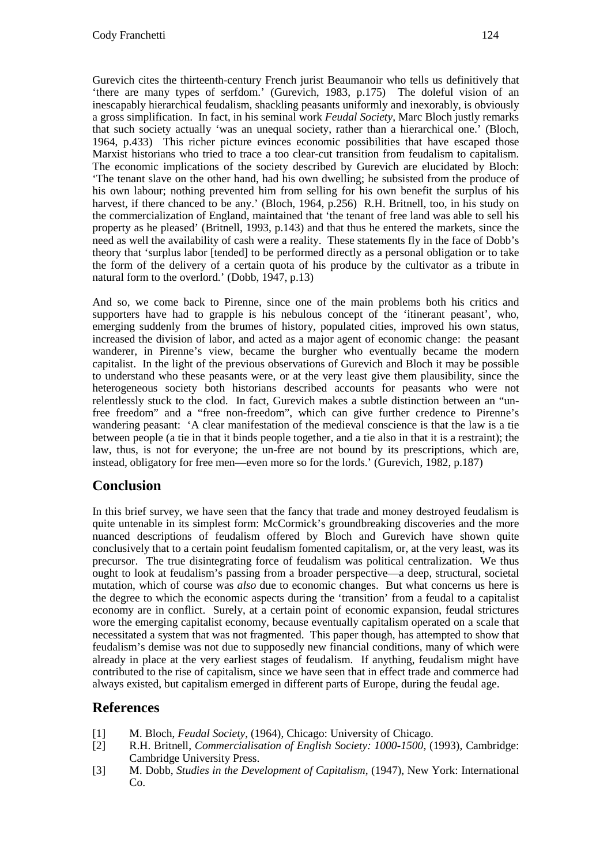Gurevich cites the thirteenth-century French jurist Beaumanoir who tells us definitively that 'there are many types of serfdom.' (Gurevich, 1983, p.175) The doleful vision of an inescapably hierarchical feudalism, shackling peasants uniformly and inexorably, is obviously a gross simplification. In fact, in his seminal work *Feudal Society*, Marc Bloch justly remarks that such society actually 'was an unequal society, rather than a hierarchical one.' (Bloch, 1964, p.433) This richer picture evinces economic possibilities that have escaped those Marxist historians who tried to trace a too clear-cut transition from feudalism to capitalism. The economic implications of the society described by Gurevich are elucidated by Bloch: 'The tenant slave on the other hand, had his own dwelling; he subsisted from the produce of his own labour; nothing prevented him from selling for his own benefit the surplus of his harvest, if there chanced to be any.' (Bloch, 1964, p.256) R.H. Britnell, too, in his study on the commercialization of England, maintained that 'the tenant of free land was able to sell his property as he pleased' (Britnell, 1993, p.143) and that thus he entered the markets, since the need as well the availability of cash were a reality. These statements fly in the face of Dobb's theory that 'surplus labor [tended] to be performed directly as a personal obligation or to take the form of the delivery of a certain quota of his produce by the cultivator as a tribute in natural form to the overlord.' (Dobb, 1947, p.13)

And so, we come back to Pirenne, since one of the main problems both his critics and supporters have had to grapple is his nebulous concept of the 'itinerant peasant', who, emerging suddenly from the brumes of history, populated cities, improved his own status, increased the division of labor, and acted as a major agent of economic change: the peasant wanderer, in Pirenne's view, became the burgher who eventually became the modern capitalist. In the light of the previous observations of Gurevich and Bloch it may be possible to understand who these peasants were, or at the very least give them plausibility, since the heterogeneous society both historians described accounts for peasants who were not relentlessly stuck to the clod. In fact, Gurevich makes a subtle distinction between an "unfree freedom" and a "free non-freedom", which can give further credence to Pirenne's wandering peasant: 'A clear manifestation of the medieval conscience is that the law is a tie between people (a tie in that it binds people together, and a tie also in that it is a restraint); the law, thus, is not for everyone; the un-free are not bound by its prescriptions, which are, instead, obligatory for free men—even more so for the lords.' (Gurevich, 1982, p.187)

## **Conclusion**

In this brief survey, we have seen that the fancy that trade and money destroyed feudalism is quite untenable in its simplest form: McCormick's groundbreaking discoveries and the more nuanced descriptions of feudalism offered by Bloch and Gurevich have shown quite conclusively that to a certain point feudalism fomented capitalism, or, at the very least, was its precursor. The true disintegrating force of feudalism was political centralization. We thus ought to look at feudalism's passing from a broader perspective—a deep, structural, societal mutation, which of course was *also* due to economic changes. But what concerns us here is the degree to which the economic aspects during the 'transition' from a feudal to a capitalist economy are in conflict. Surely, at a certain point of economic expansion, feudal strictures wore the emerging capitalist economy, because eventually capitalism operated on a scale that necessitated a system that was not fragmented. This paper though, has attempted to show that feudalism's demise was not due to supposedly new financial conditions, many of which were already in place at the very earliest stages of feudalism. If anything, feudalism might have contributed to the rise of capitalism, since we have seen that in effect trade and commerce had always existed, but capitalism emerged in different parts of Europe, during the feudal age.

### **References**

- [1] M. Bloch, *Feudal Society*, (1964), Chicago: University of Chicago.
- [2] R.H. Britnell, *Commercialisation of English Society: 1000-1500*, (1993), Cambridge: Cambridge University Press.
- [3] M. Dobb, *Studies in the Development of Capitalism*, (1947), New York: International Co.